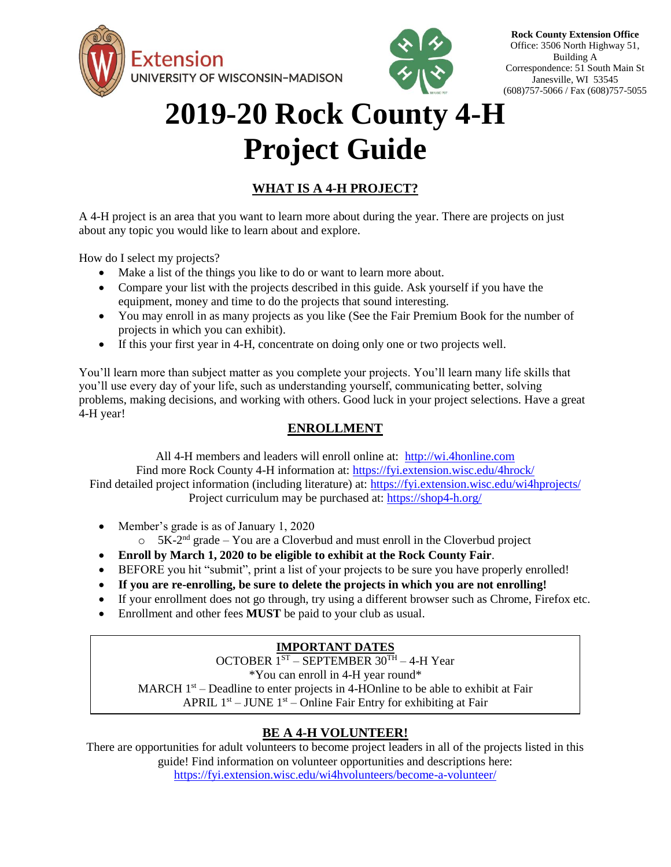



**Rock County Extension Office** Office: 3506 North Highway 51, Building A Correspondence: 51 South Main St Janesville, WI 53545 (608)757-5066 / Fax (608)757-5055

# **2019-20 Rock County 4-H Project Guide**

### **WHAT IS A 4-H PROJECT?**

A 4-H project is an area that you want to learn more about during the year. There are projects on just about any topic you would like to learn about and explore.

How do I select my projects?

- Make a list of the things you like to do or want to learn more about.
- Compare your list with the projects described in this guide. Ask yourself if you have the equipment, money and time to do the projects that sound interesting.
- You may enroll in as many projects as you like (See the Fair Premium Book for the number of projects in which you can exhibit).
- If this your first year in 4-H, concentrate on doing only one or two projects well.

You'll learn more than subject matter as you complete your projects. You'll learn many life skills that you'll use every day of your life, such as understanding yourself, communicating better, solving problems, making decisions, and working with others. Good luck in your project selections. Have a great 4-H year!

### **ENROLLMENT**

All 4-H members and leaders will enroll online at: [http://wi.4honline.com](http://wi.4honline.com/) Find more Rock County 4-H information at: <https://fyi.extension.wisc.edu/4hrock/> Find detailed project information (including literature) at:<https://fyi.extension.wisc.edu/wi4hprojects/> Project curriculum may be purchased at:<https://shop4-h.org/>

- Member's grade is as of January 1, 2020
	- $\circ$  5K-2<sup>nd</sup> grade You are a Cloverbud and must enroll in the Cloverbud project
- **Enroll by March 1, 2020 to be eligible to exhibit at the Rock County Fair**.
- BEFORE you hit "submit", print a list of your projects to be sure you have properly enrolled!
- **If you are re-enrolling, be sure to delete the projects in which you are not enrolling!**
- If your enrollment does not go through, try using a different browser such as Chrome, Firefox etc.
- Enrollment and other fees **MUST** be paid to your club as usual.

### **IMPORTANT DATES**

OCTOBER 1ST – SEPTEMBER 30TH – 4-H Year \*You can enroll in 4-H year round\*

MARCH  $1<sup>st</sup>$  – Deadline to enter projects in 4-HOnline to be able to exhibit at Fair APRIL  $1<sup>st</sup> - JUNE 1<sup>st</sup> - Online Fair Entry for exhibiting at Fair$ 

### **BE A 4-H VOLUNTEER!**

There are opportunities for adult volunteers to become project leaders in all of the projects listed in this guide! Find information on volunteer opportunities and descriptions here:

<https://fyi.extension.wisc.edu/wi4hvolunteers/become-a-volunteer/>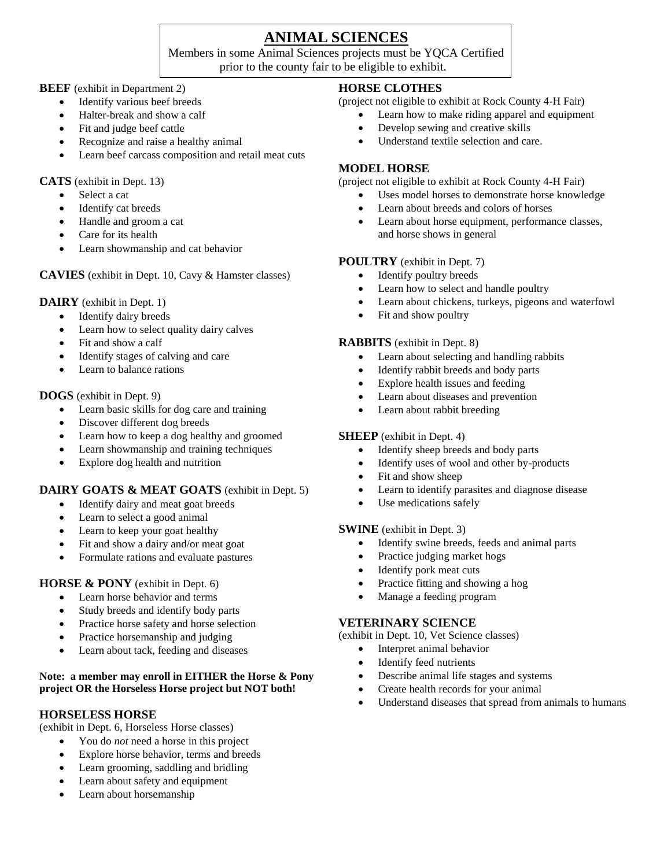## **ANIMAL SCIENCES**

Members in some Animal Sciences projects must be YQCA Certified prior to the county fair to be eligible to exhibit.

#### **BEEF** (exhibit in Department 2)

- Identify various beef breeds
- Halter-break and show a calf
- Fit and judge beef cattle
- Recognize and raise a healthy animal
- Learn beef carcass composition and retail meat cuts

**CATS** (exhibit in Dept. 13)

- Select a cat
- Identify cat breeds
- Handle and groom a cat
- Care for its health
- Learn showmanship and cat behavior

**CAVIES** (exhibit in Dept. 10, Cavy & Hamster classes)

#### **DAIRY** (exhibit in Dept. 1)

- Identify dairy breeds
- Learn how to select quality dairy calves
- Fit and show a calf
- Identify stages of calving and care
- Learn to balance rations

#### **DOGS** (exhibit in Dept. 9)

- Learn basic skills for dog care and training
- Discover different dog breeds
- Learn how to keep a dog healthy and groomed
- Learn showmanship and training techniques
- Explore dog health and nutrition

#### **DAIRY GOATS & MEAT GOATS** (exhibit in Dept. 5)

- Identify dairy and meat goat breeds
- Learn to select a good animal
- Learn to keep your goat healthy
- Fit and show a dairy and/or meat goat
- Formulate rations and evaluate pastures

#### **HORSE & PONY** (exhibit in Dept. 6)

- Learn horse behavior and terms
- Study breeds and identify body parts
- Practice horse safety and horse selection
- Practice horsemanship and judging
- Learn about tack, feeding and diseases

#### **Note: a member may enroll in EITHER the Horse & Pony project OR the Horseless Horse project but NOT both!**

#### **HORSELESS HORSE**

(exhibit in Dept. 6, Horseless Horse classes)

- You do *not* need a horse in this project
- Explore horse behavior, terms and breeds
- Learn grooming, saddling and bridling
- Learn about safety and equipment
- Learn about horsemanship

#### **HORSE CLOTHES**

(project not eligible to exhibit at Rock County 4-H Fair)

- Learn how to make riding apparel and equipment
- Develop sewing and creative skills
- Understand textile selection and care.

#### **MODEL HORSE**

(project not eligible to exhibit at Rock County 4-H Fair)

- Uses model horses to demonstrate horse knowledge
- Learn about breeds and colors of horses
- Learn about horse equipment, performance classes, and horse shows in general

#### **POULTRY** (exhibit in Dept. 7)

- Identify poultry breeds
- Learn how to select and handle poultry
- Learn about chickens, turkeys, pigeons and waterfowl
- Fit and show poultry

#### **RABBITS** (exhibit in Dept. 8)

- Learn about selecting and handling rabbits
- Identify rabbit breeds and body parts
- Explore health issues and feeding
- Learn about diseases and prevention
- Learn about rabbit breeding

#### **SHEEP** (exhibit in Dept. 4)

- Identify sheep breeds and body parts
- Identify uses of wool and other by-products
- Fit and show sheep
- Learn to identify parasites and diagnose disease
- Use medications safely

#### **SWINE** (exhibit in Dept. 3)

- Identify swine breeds, feeds and animal parts
- Practice judging market hogs
- Identify pork meat cuts
- Practice fitting and showing a hog
- Manage a feeding program

#### **VETERINARY SCIENCE**

(exhibit in Dept. 10, Vet Science classes)

- Interpret animal behavior
- Identify feed nutrients
- Describe animal life stages and systems
- Create health records for your animal
- Understand diseases that spread from animals to humans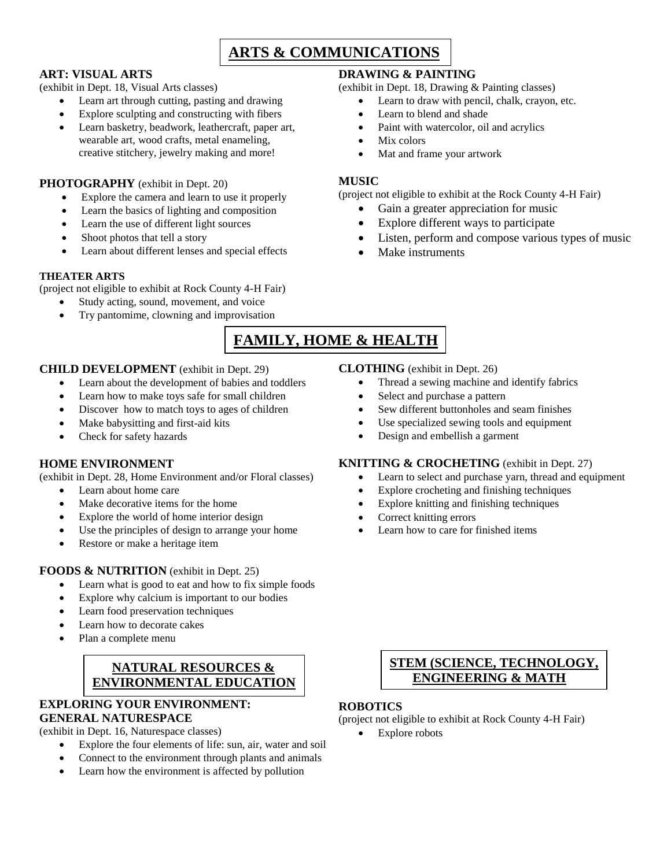# **ARTS & COMMUNICATIONS**

#### **ART: VISUAL ARTS**

(exhibit in Dept. 18, Visual Arts classes)

- Learn art through cutting, pasting and drawing
- Explore sculpting and constructing with fibers
- Learn basketry, beadwork, leathercraft, paper art, wearable art, wood crafts, metal enameling, creative stitchery, jewelry making and more!

#### **PHOTOGRAPHY** (exhibit in Dept. 20)

- Explore the camera and learn to use it properly
- Learn the basics of lighting and composition
- Learn the use of different light sources
- Shoot photos that tell a story
- Learn about different lenses and special effects

#### **THEATER ARTS**

(project not eligible to exhibit at Rock County 4-H Fair)

- Study acting, sound, movement, and voice
- Try pantomime, clowning and improvisation

#### **DRAWING & PAINTING**

(exhibit in Dept. 18, Drawing & Painting classes)

- Learn to draw with pencil, chalk, crayon, etc.
- Learn to blend and shade
- Paint with watercolor, oil and acrylics
- Mix colors
- Mat and frame your artwork

#### **MUSIC**

(project not eligible to exhibit at the Rock County 4-H Fair)

- Gain a greater appreciation for music
- Explore different ways to participate
- Listen, perform and compose various types of music

Thread a sewing machine and identify fabrics

 Sew different buttonholes and seam finishes Use specialized sewing tools and equipment

**KNITTING & CROCHETING** (exhibit in Dept. 27)

Learn how to care for finished items

 Explore crocheting and finishing techniques Explore knitting and finishing techniques

Learn to select and purchase yarn, thread and equipment

Make instruments

**CLOTHING** (exhibit in Dept. 26)

Select and purchase a pattern

Design and embellish a garment

Correct knitting errors

# **FAMILY, HOME & HEALTH**

#### **CHILD DEVELOPMENT** (exhibit in Dept. 29)

- Learn about the development of babies and toddlers
- Learn how to make toys safe for small children
- Discover how to match toys to ages of children
- Make babysitting and first-aid kits
- Check for safety hazards

#### **HOME ENVIRONMENT**

(exhibit in Dept. 28, Home Environment and/or Floral classes)

- Learn about home care
- Make decorative items for the home
- Explore the world of home interior design
- Use the principles of design to arrange your home
- Restore or make a heritage item

#### **FOODS & NUTRITION** (exhibit in Dept. 25)

- Learn what is good to eat and how to fix simple foods
- Explore why calcium is important to our bodies
- Learn food preservation techniques
- Learn how to decorate cakes
- Plan a complete menu

### **NATURAL RESOURCES & ENVIRONMENTAL EDUCATION**

#### **EXPLORING YOUR ENVIRONMENT: GENERAL NATURESPACE**

(exhibit in Dept. 16, Naturespace classes)

- Explore the four elements of life: sun, air, water and soil
- Connect to the environment through plants and animals
- Learn how the environment is affected by pollution

### **STEM (SCIENCE, TECHNOLOGY, ENGINEERING & MATH**

### **ROBOTICS**

- (project not eligible to exhibit at Rock County 4-H Fair)
	- Explore robots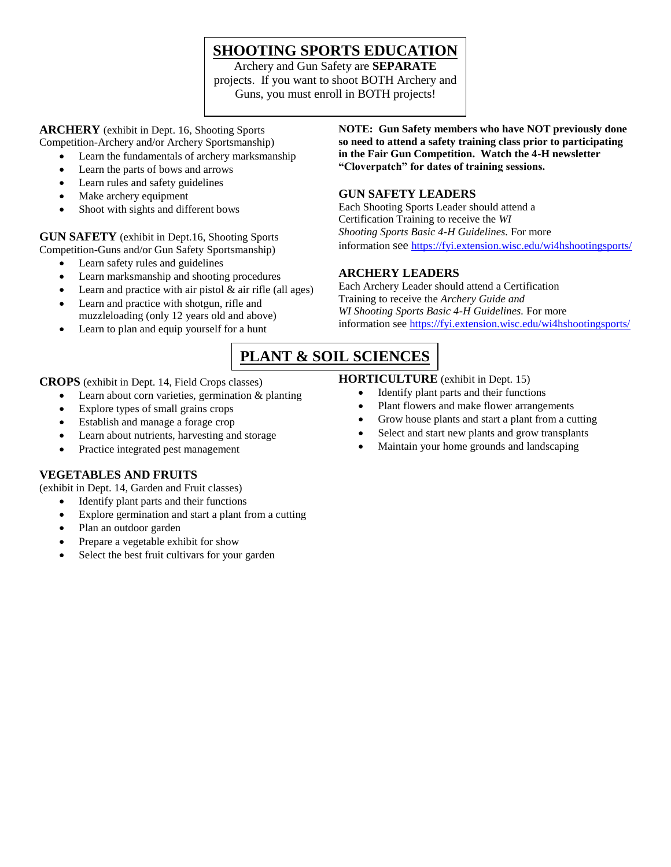# **SHOOTING SPORTS EDUCATION**

Archery and Gun Safety are **SEPARATE** projects. If you want to shoot BOTH Archery and Guns, you must enroll in BOTH projects!

**ARCHERY** (exhibit in Dept. 16, Shooting Sports Competition-Archery and/or Archery Sportsmanship)

- Learn the fundamentals of archery marksmanship
- Learn the parts of bows and arrows
- Learn rules and safety guidelines
- Make archery equipment
- Shoot with sights and different bows

**GUN SAFETY** (exhibit in Dept.16, Shooting Sports Competition-Guns and/or Gun Safety Sportsmanship)

- Learn safety rules and guidelines
- Learn marksmanship and shooting procedures
- Learn and practice with air pistol  $&$  air rifle (all ages)
- Learn and practice with shotgun, rifle and muzzleloading (only 12 years old and above)
- Learn to plan and equip yourself for a hunt

**NOTE: Gun Safety members who have NOT previously done so need to attend a safety training class prior to participating in the Fair Gun Competition. Watch the 4-H newsletter "Cloverpatch" for dates of training sessions.**

#### **GUN SAFETY LEADERS**

Each Shooting Sports Leader should attend a Certification Training to receive the *WI Shooting Sports Basic 4-H Guidelines.* For more information see <https://fyi.extension.wisc.edu/wi4hshootingsports/>

#### **ARCHERY LEADERS**

Each Archery Leader should attend a Certification Training to receive the *Archery Guide and WI Shooting Sports Basic 4-H Guidelines.* For more information see<https://fyi.extension.wisc.edu/wi4hshootingsports/>

# **PLANT & SOIL SCIENCES**

**CROPS** (exhibit in Dept. 14, Field Crops classes)

- Learn about corn varieties, germination & planting
- Explore types of small grains crops
- Establish and manage a forage crop
- Learn about nutrients, harvesting and storage
- Practice integrated pest management

#### **VEGETABLES AND FRUITS**

(exhibit in Dept. 14, Garden and Fruit classes)

- Identify plant parts and their functions
- Explore germination and start a plant from a cutting
- Plan an outdoor garden
- Prepare a vegetable exhibit for show
- Select the best fruit cultivars for your garden

#### **HORTICULTURE** (exhibit in Dept. 15)

- Identify plant parts and their functions
- Plant flowers and make flower arrangements
- Grow house plants and start a plant from a cutting
- Select and start new plants and grow transplants
- Maintain your home grounds and landscaping